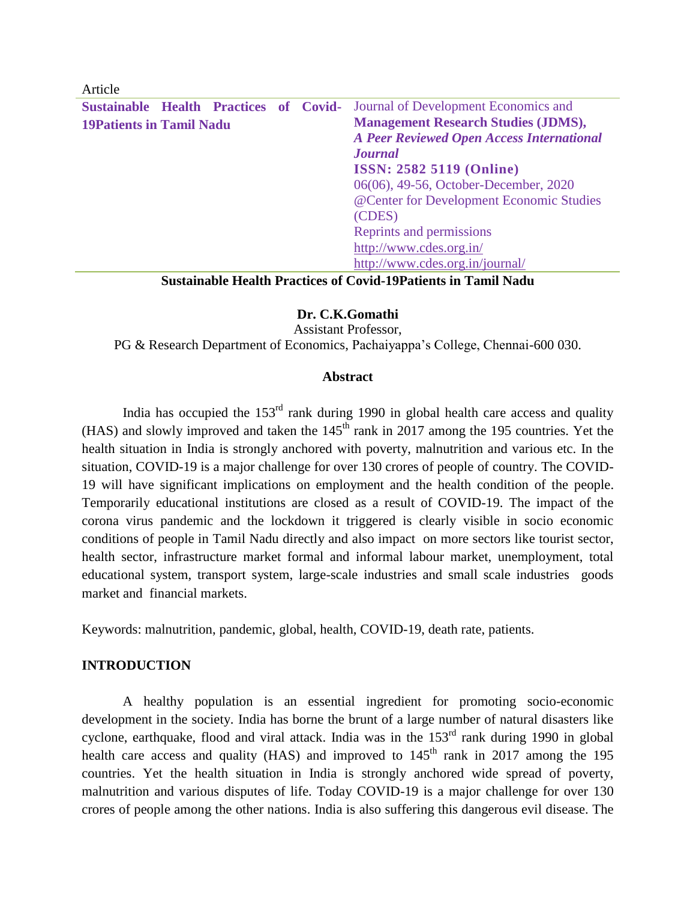| Article                                                                            |                                                  |
|------------------------------------------------------------------------------------|--------------------------------------------------|
| <b>Sustainable Health Practices of Covid-</b> Journal of Development Economics and |                                                  |
| <b>19Patients in Tamil Nadu</b>                                                    | <b>Management Research Studies (JDMS),</b>       |
|                                                                                    | <b>A Peer Reviewed Open Access International</b> |
|                                                                                    | <b>Journal</b>                                   |
|                                                                                    | <b>ISSN: 2582 5119 (Online)</b>                  |
|                                                                                    | 06(06), 49-56, October-December, 2020            |
|                                                                                    | @ Center for Development Economic Studies        |
|                                                                                    | (CDES)                                           |
|                                                                                    | Reprints and permissions                         |
|                                                                                    | http://www.cdes.org.in/                          |
|                                                                                    | http://www.cdes.org.in/journal/                  |

#### **Sustainable Health Practices of Covid-19Patients in Tamil Nadu**

# **Dr. C.K.Gomathi**

Assistant Professor,

PG & Research Department of Economics, Pachaiyappa's College, Chennai-600 030.

#### **Abstract**

India has occupied the  $153<sup>rd</sup>$  rank during 1990 in global health care access and quality (HAS) and slowly improved and taken the  $145<sup>th</sup>$  rank in 2017 among the 195 countries. Yet the health situation in India is strongly anchored with poverty, malnutrition and various etc. In the situation, COVID-19 is a major challenge for over 130 crores of people of country. The COVID-19 will have significant implications on employment and the health condition of the people. Temporarily educational institutions are closed as a result of COVID-19. The impact of the corona virus pandemic and the lockdown it triggered is clearly visible in socio economic conditions of people in Tamil Nadu directly and also impact on more sectors like tourist sector, health sector, infrastructure market formal and informal labour market, unemployment, total educational system, transport system, large-scale industries and small scale industries goods market and financial markets.

Keywords: malnutrition, pandemic, global, health, COVID-19, death rate, patients.

# **INTRODUCTION**

A healthy population is an essential ingredient for promoting socio-economic development in the society. India has borne the brunt of a large number of natural disasters like cyclone, earthquake, flood and viral attack. India was in the 153<sup>rd</sup> rank during 1990 in global health care access and quality (HAS) and improved to  $145<sup>th</sup>$  rank in 2017 among the 195 countries. Yet the health situation in India is strongly anchored wide spread of poverty, malnutrition and various disputes of life. Today COVID-19 is a major challenge for over 130 crores of people among the other nations. India is also suffering this dangerous evil disease. The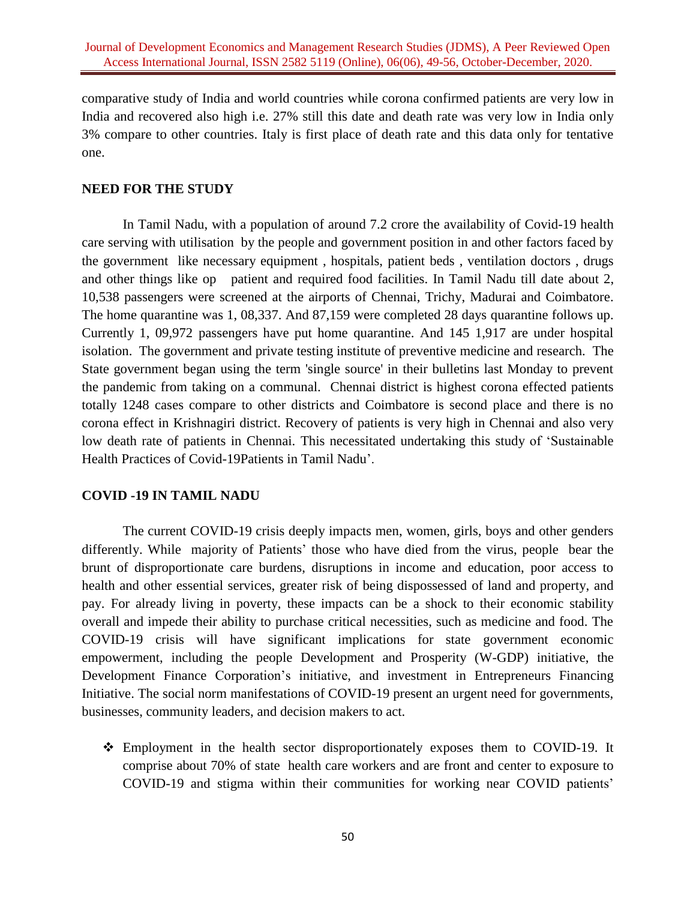comparative study of India and world countries while corona confirmed patients are very low in India and recovered also high i.e. 27% still this date and death rate was very low in India only 3% compare to other countries. Italy is first place of death rate and this data only for tentative one.

# **NEED FOR THE STUDY**

In Tamil Nadu, with a population of around 7.2 crore the availability of Covid-19 health care serving with utilisation by the people and government position in and other factors faced by the government like necessary equipment , hospitals, patient beds , ventilation doctors , drugs and other things like op patient and required food facilities. In Tamil Nadu till date about 2, 10,538 passengers were screened at the airports of Chennai, Trichy, Madurai and Coimbatore. The home quarantine was 1, 08,337. And 87,159 were completed 28 days quarantine follows up. Currently 1, 09,972 passengers have put home quarantine. And 145 1,917 are under hospital isolation. The government and private testing institute of preventive medicine and research. The State government began using the term 'single source' in their bulletins last Monday to prevent the pandemic from taking on a communal. Chennai district is highest corona effected patients totally 1248 cases compare to other districts and Coimbatore is second place and there is no corona effect in Krishnagiri district. Recovery of patients is very high in Chennai and also very low death rate of patients in Chennai. This necessitated undertaking this study of 'Sustainable Health Practices of Covid-19Patients in Tamil Nadu'.

# **COVID -19 IN TAMIL NADU**

The current COVID-19 crisis deeply impacts men, women, girls, boys and other genders differently. While majority of Patients' those who have died from the virus, people bear the brunt of disproportionate care burdens, disruptions in income and education, poor access to health and other essential services, greater risk of being dispossessed of land and property, and pay. For already living in poverty, these impacts can be a shock to their economic stability overall and impede their ability to purchase critical necessities, such as medicine and food. The COVID-19 crisis will have significant implications for state government economic empowerment, including the people Development and Prosperity (W-GDP) initiative, the Development Finance Corporation's initiative, and investment in Entrepreneurs Financing Initiative. The social norm manifestations of COVID-19 present an urgent need for governments, businesses, community leaders, and decision makers to act.

 Employment in the health sector disproportionately exposes them to COVID-19. It comprise about 70% of state health care workers and are front and center to exposure to COVID-19 and stigma within their communities for working near COVID patients'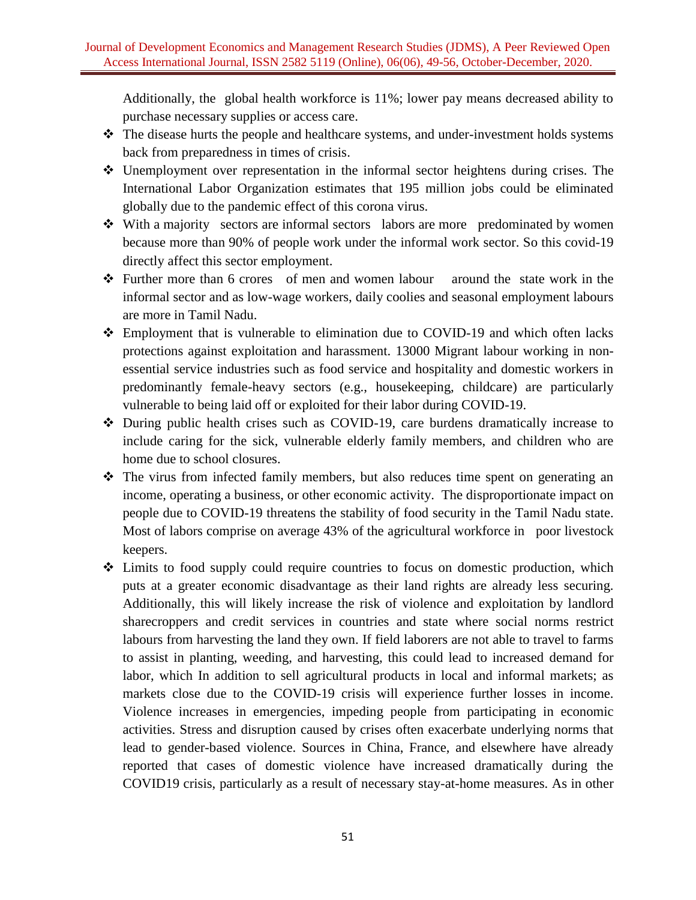Additionally, the global health workforce is 11%; lower pay means decreased ability to purchase necessary supplies or access care.

- $\triangle$  The disease hurts the people and healthcare systems, and under-investment holds systems back from preparedness in times of crisis.
- Unemployment over representation in the informal sector heightens during crises. The International Labor Organization estimates that 195 million jobs could be eliminated globally due to the pandemic effect of this corona virus.
- With a majority sectors are informal sectors labors are more predominated by women because more than 90% of people work under the informal work sector. So this covid-19 directly affect this sector employment.
- Further more than 6 crores of men and women labour around the state work in the informal sector and as low-wage workers, daily coolies and seasonal employment labours are more in Tamil Nadu.
- Employment that is vulnerable to elimination due to COVID-19 and which often lacks protections against exploitation and harassment. 13000 Migrant labour working in nonessential service industries such as food service and hospitality and domestic workers in predominantly female-heavy sectors (e.g., housekeeping, childcare) are particularly vulnerable to being laid off or exploited for their labor during COVID-19.
- During public health crises such as COVID-19, care burdens dramatically increase to include caring for the sick, vulnerable elderly family members, and children who are home due to school closures.
- $\hat{\mathbf{\cdot}}$  The virus from infected family members, but also reduces time spent on generating an income, operating a business, or other economic activity. The disproportionate impact on people due to COVID-19 threatens the stability of food security in the Tamil Nadu state. Most of labors comprise on average 43% of the agricultural workforce in poor livestock keepers.
- Limits to food supply could require countries to focus on domestic production, which puts at a greater economic disadvantage as their land rights are already less securing. Additionally, this will likely increase the risk of violence and exploitation by landlord sharecroppers and credit services in countries and state where social norms restrict labours from harvesting the land they own. If field laborers are not able to travel to farms to assist in planting, weeding, and harvesting, this could lead to increased demand for labor, which In addition to sell agricultural products in local and informal markets; as markets close due to the COVID-19 crisis will experience further losses in income. Violence increases in emergencies, impeding people from participating in economic activities. Stress and disruption caused by crises often exacerbate underlying norms that lead to gender-based violence. Sources in China, France, and elsewhere have already reported that cases of domestic violence have increased dramatically during the COVID19 crisis, particularly as a result of necessary stay-at-home measures. As in other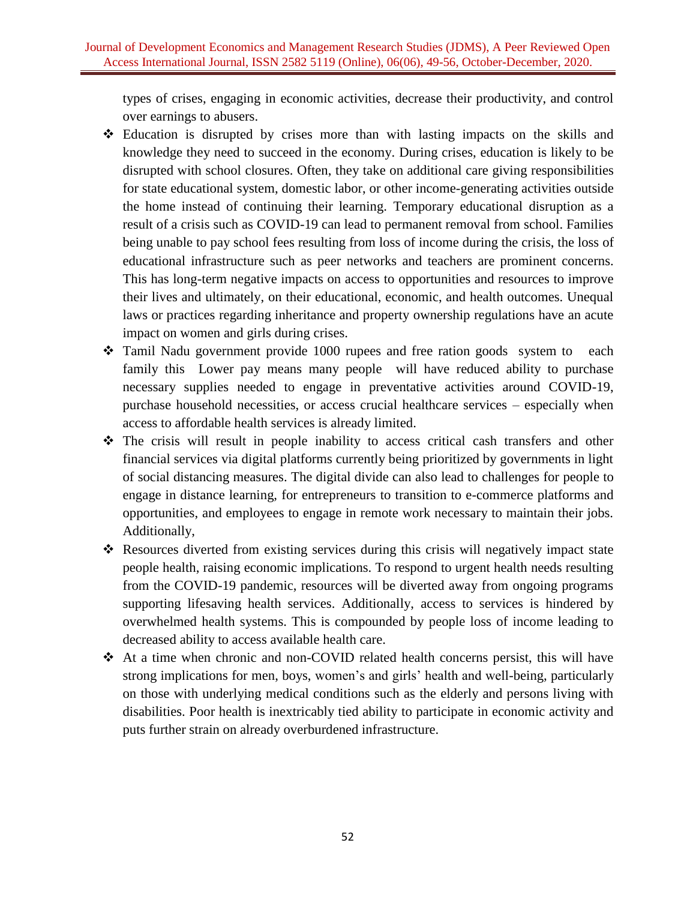types of crises, engaging in economic activities, decrease their productivity, and control over earnings to abusers.

- Education is disrupted by crises more than with lasting impacts on the skills and knowledge they need to succeed in the economy. During crises, education is likely to be disrupted with school closures. Often, they take on additional care giving responsibilities for state educational system, domestic labor, or other income-generating activities outside the home instead of continuing their learning. Temporary educational disruption as a result of a crisis such as COVID-19 can lead to permanent removal from school. Families being unable to pay school fees resulting from loss of income during the crisis, the loss of educational infrastructure such as peer networks and teachers are prominent concerns. This has long-term negative impacts on access to opportunities and resources to improve their lives and ultimately, on their educational, economic, and health outcomes. Unequal laws or practices regarding inheritance and property ownership regulations have an acute impact on women and girls during crises.
- \* Tamil Nadu government provide 1000 rupees and free ration goods system to each family this Lower pay means many people will have reduced ability to purchase necessary supplies needed to engage in preventative activities around COVID-19, purchase household necessities, or access crucial healthcare services – especially when access to affordable health services is already limited.
- The crisis will result in people inability to access critical cash transfers and other financial services via digital platforms currently being prioritized by governments in light of social distancing measures. The digital divide can also lead to challenges for people to engage in distance learning, for entrepreneurs to transition to e-commerce platforms and opportunities, and employees to engage in remote work necessary to maintain their jobs. Additionally,
- Resources diverted from existing services during this crisis will negatively impact state people health, raising economic implications. To respond to urgent health needs resulting from the COVID-19 pandemic, resources will be diverted away from ongoing programs supporting lifesaving health services. Additionally, access to services is hindered by overwhelmed health systems. This is compounded by people loss of income leading to decreased ability to access available health care.
- At a time when chronic and non-COVID related health concerns persist, this will have strong implications for men, boys, women's and girls' health and well-being, particularly on those with underlying medical conditions such as the elderly and persons living with disabilities. Poor health is inextricably tied ability to participate in economic activity and puts further strain on already overburdened infrastructure.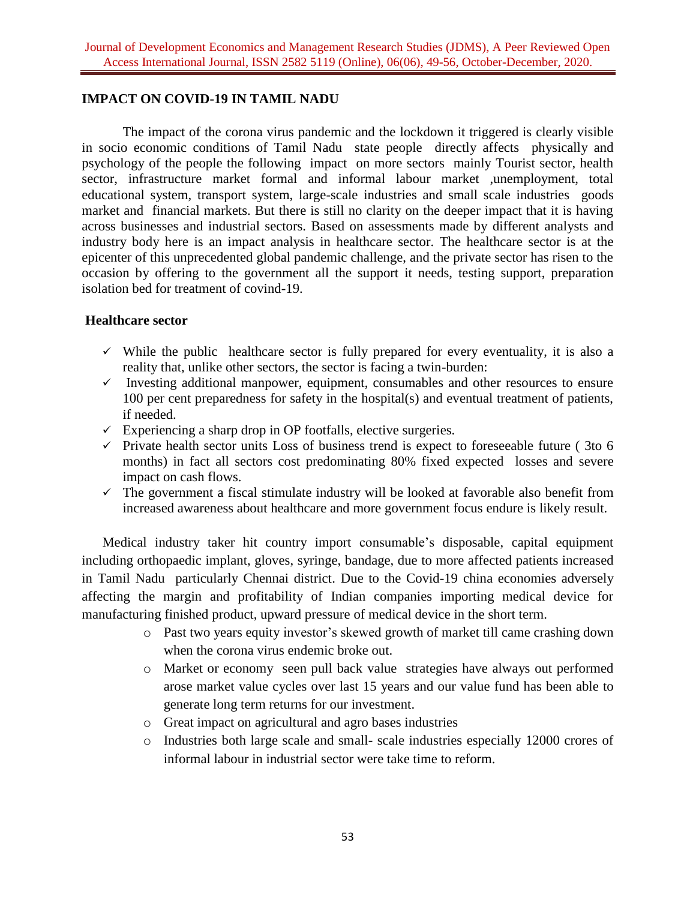#### **IMPACT ON COVID-19 IN TAMIL NADU**

The impact of the corona virus pandemic and the lockdown it triggered is clearly visible in socio economic conditions of Tamil Nadu state people directly affects physically and psychology of the people the following impact on more sectors mainly Tourist sector, health sector, infrastructure market formal and informal labour market ,unemployment, total educational system, transport system, large-scale industries and small scale industries goods market and financial markets. But there is still no clarity on the deeper impact that it is having across businesses and industrial sectors. Based on assessments made by different analysts and industry body here is an impact analysis in healthcare sector. The healthcare sector is at the epicenter of this unprecedented global pandemic challenge, and the private sector has risen to the occasion by offering to the government all the support it needs, testing support, preparation isolation bed for treatment of covind-19.

#### **Healthcare sector**

- $\checkmark$  While the public healthcare sector is fully prepared for every eventuality, it is also a reality that, unlike other sectors, the sector is facing a twin-burden:
- $\checkmark$  Investing additional manpower, equipment, consumables and other resources to ensure 100 per cent preparedness for safety in the hospital(s) and eventual treatment of patients, if needed.
- $\checkmark$  Experiencing a sharp drop in OP footfalls, elective surgeries.
- $\checkmark$  Private health sector units Loss of business trend is expect to foreseeable future (3to 6) months) in fact all sectors cost predominating 80% fixed expected losses and severe impact on cash flows.
- $\checkmark$  The government a fiscal stimulate industry will be looked at favorable also benefit from increased awareness about healthcare and more government focus endure is likely result.

Medical industry taker hit country import consumable's disposable, capital equipment including orthopaedic implant, gloves, syringe, bandage, due to more affected patients increased in Tamil Nadu particularly Chennai district. Due to the Covid-19 china economies adversely affecting the margin and profitability of Indian companies importing medical device for manufacturing finished product, upward pressure of medical device in the short term.

- o Past two years equity investor's skewed growth of market till came crashing down when the corona virus endemic broke out.
- o Market or economy seen pull back value strategies have always out performed arose market value cycles over last 15 years and our value fund has been able to generate long term returns for our investment.
- o Great impact on agricultural and agro bases industries
- o Industries both large scale and small- scale industries especially 12000 crores of informal labour in industrial sector were take time to reform.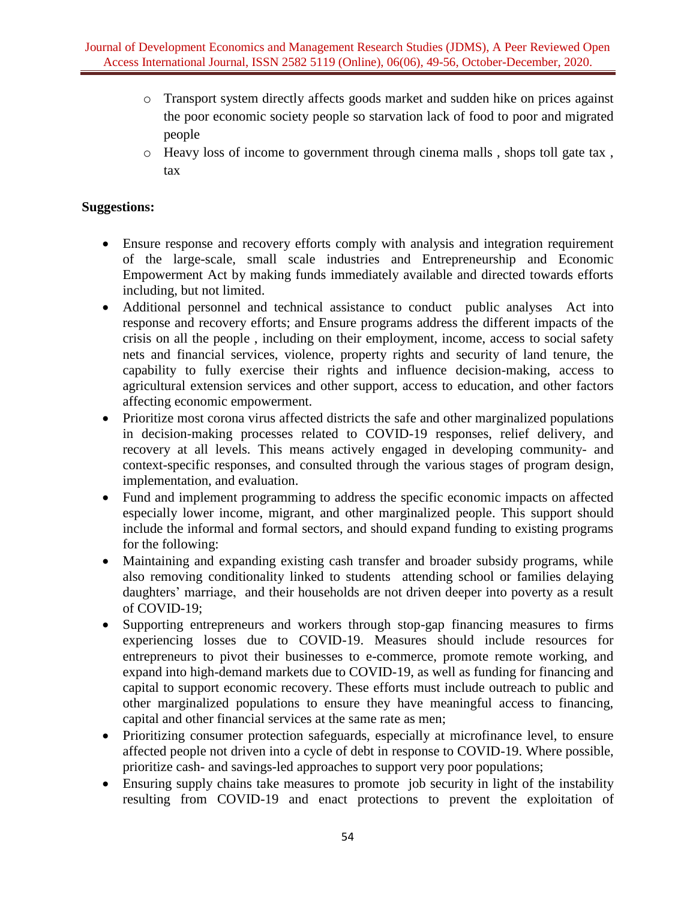- o Transport system directly affects goods market and sudden hike on prices against the poor economic society people so starvation lack of food to poor and migrated people
- o Heavy loss of income to government through cinema malls , shops toll gate tax , tax

# **Suggestions:**

- Ensure response and recovery efforts comply with analysis and integration requirement of the large-scale, small scale industries and Entrepreneurship and Economic Empowerment Act by making funds immediately available and directed towards efforts including, but not limited.
- Additional personnel and technical assistance to conduct public analyses Act into response and recovery efforts; and Ensure programs address the different impacts of the crisis on all the people , including on their employment, income, access to social safety nets and financial services, violence, property rights and security of land tenure, the capability to fully exercise their rights and influence decision-making, access to agricultural extension services and other support, access to education, and other factors affecting economic empowerment.
- Prioritize most corona virus affected districts the safe and other marginalized populations in decision-making processes related to COVID-19 responses, relief delivery, and recovery at all levels. This means actively engaged in developing community- and context-specific responses, and consulted through the various stages of program design, implementation, and evaluation.
- Fund and implement programming to address the specific economic impacts on affected especially lower income, migrant, and other marginalized people. This support should include the informal and formal sectors, and should expand funding to existing programs for the following:
- Maintaining and expanding existing cash transfer and broader subsidy programs, while also removing conditionality linked to students attending school or families delaying daughters' marriage, and their households are not driven deeper into poverty as a result of COVID-19;
- Supporting entrepreneurs and workers through stop-gap financing measures to firms experiencing losses due to COVID-19. Measures should include resources for entrepreneurs to pivot their businesses to e-commerce, promote remote working, and expand into high-demand markets due to COVID-19, as well as funding for financing and capital to support economic recovery. These efforts must include outreach to public and other marginalized populations to ensure they have meaningful access to financing, capital and other financial services at the same rate as men;
- Prioritizing consumer protection safeguards, especially at microfinance level, to ensure affected people not driven into a cycle of debt in response to COVID-19. Where possible, prioritize cash- and savings-led approaches to support very poor populations;
- Ensuring supply chains take measures to promote job security in light of the instability resulting from COVID-19 and enact protections to prevent the exploitation of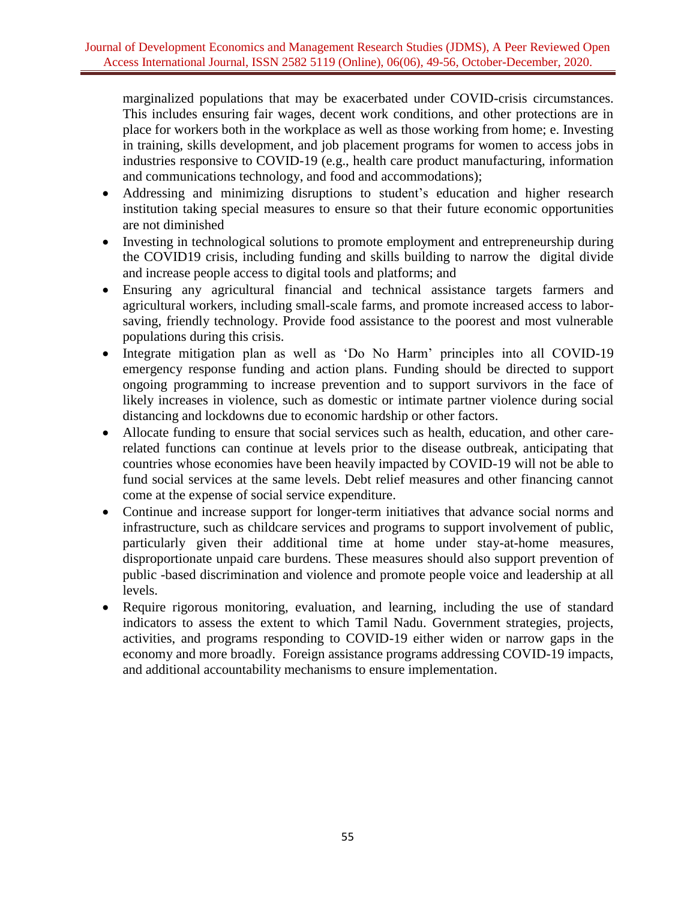marginalized populations that may be exacerbated under COVID-crisis circumstances. This includes ensuring fair wages, decent work conditions, and other protections are in place for workers both in the workplace as well as those working from home; e. Investing in training, skills development, and job placement programs for women to access jobs in industries responsive to COVID-19 (e.g., health care product manufacturing, information and communications technology, and food and accommodations);

- Addressing and minimizing disruptions to student's education and higher research institution taking special measures to ensure so that their future economic opportunities are not diminished
- Investing in technological solutions to promote employment and entrepreneurship during the COVID19 crisis, including funding and skills building to narrow the digital divide and increase people access to digital tools and platforms; and
- Ensuring any agricultural financial and technical assistance targets farmers and agricultural workers, including small-scale farms, and promote increased access to laborsaving, friendly technology. Provide food assistance to the poorest and most vulnerable populations during this crisis.
- Integrate mitigation plan as well as 'Do No Harm' principles into all COVID-19 emergency response funding and action plans. Funding should be directed to support ongoing programming to increase prevention and to support survivors in the face of likely increases in violence, such as domestic or intimate partner violence during social distancing and lockdowns due to economic hardship or other factors.
- Allocate funding to ensure that social services such as health, education, and other carerelated functions can continue at levels prior to the disease outbreak, anticipating that countries whose economies have been heavily impacted by COVID-19 will not be able to fund social services at the same levels. Debt relief measures and other financing cannot come at the expense of social service expenditure.
- Continue and increase support for longer-term initiatives that advance social norms and infrastructure, such as childcare services and programs to support involvement of public, particularly given their additional time at home under stay-at-home measures, disproportionate unpaid care burdens. These measures should also support prevention of public -based discrimination and violence and promote people voice and leadership at all levels.
- Require rigorous monitoring, evaluation, and learning, including the use of standard indicators to assess the extent to which Tamil Nadu. Government strategies, projects, activities, and programs responding to COVID-19 either widen or narrow gaps in the economy and more broadly. Foreign assistance programs addressing COVID-19 impacts, and additional accountability mechanisms to ensure implementation.